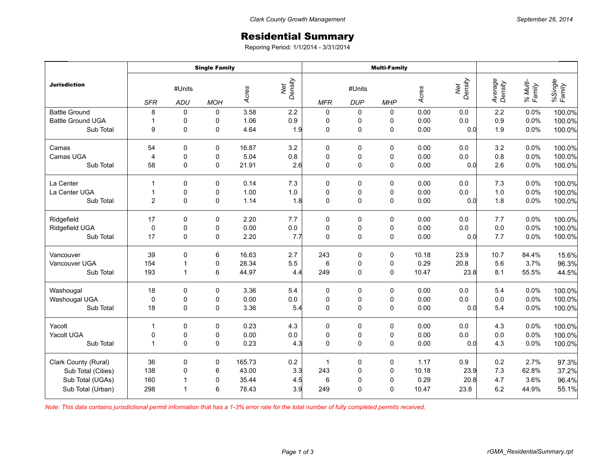## Residential Summary

Reporing Period: 1/1/2014 - 3/31/2014

|                          | <b>Single Family</b> |                      |            |        |                | <b>Multi-Family</b> |                      |                     |       |                |                    |                    |                   |
|--------------------------|----------------------|----------------------|------------|--------|----------------|---------------------|----------------------|---------------------|-------|----------------|--------------------|--------------------|-------------------|
| <b>Jurisdiction</b>      | <b>SFR</b>           | #Units<br><b>ADU</b> | <b>MOH</b> | Acres  | Net<br>Density | <b>MFR</b>          | #Units<br><b>DUP</b> | <b>MHP</b>          | Acres | Net<br>Density | Average<br>Density | % Multi-<br>Family | %Single<br>Family |
| <b>Battle Ground</b>     | 8                    | $\mathbf 0$          | 0          | 3.58   | $2.2\,$        | 0                   | 0                    | 0                   | 0.00  | 0.0            | 2.2                | 0.0%               | 100.0%            |
| <b>Battle Ground UGA</b> | $\mathbf{1}$         | 0                    | 0          | 1.06   | 0.9            | $\pmb{0}$           | 0                    | 0                   | 0.00  | 0.0            | 0.9                | 0.0%               | 100.0%            |
| Sub Total                | 9                    | $\Omega$             | 0          | 4.64   | 1.9            | $\mathbf 0$         | $\pmb{0}$            | $\mathbf 0$         | 0.00  | 0.0            | 1.9                | 0.0%               | 100.0%            |
| Camas                    | 54                   | 0                    | 0          | 16.87  | 3.2            | $\pmb{0}$           | 0                    | 0                   | 0.00  | 0.0            | 3.2                | 0.0%               | 100.0%            |
| Camas UGA                | $\overline{4}$       | $\pmb{0}$            | 0          | 5.04   | 0.8            | $\pmb{0}$           | $\pmb{0}$            | $\pmb{0}$           | 0.00  | 0.0            | 0.8                | 0.0%               | 100.0%            |
| Sub Total                | 58                   | 0                    | 0          | 21.91  | 2.6            | $\mathbf 0$         | $\pmb{0}$            | $\pmb{0}$           | 0.00  | 0.0            | 2.6                | 0.0%               | 100.0%            |
| La Center                | $\mathbf{1}$         | $\Omega$             | $\Omega$   | 0.14   | 7.3            | 0                   | 0                    | 0                   | 0.00  | 0.0            | 7.3                | 0.0%               | 100.0%            |
| La Center UGA            | $\mathbf{1}$         | 0                    | 0          | 1.00   | $1.0\,$        | $\pmb{0}$           | $\pmb{0}$            | $\pmb{0}$           | 0.00  | 0.0            | $1.0$              | 0.0%               | 100.0%            |
| Sub Total                | $\overline{c}$       | 0                    | $\pmb{0}$  | 1.14   | 1.8            | $\mathbf 0$         | $\mathsf{O}\xspace$  | $\mathsf{O}\xspace$ | 0.00  | 0.0            | 1.8                | 0.0%               | 100.0%            |
| Ridgefield               | 17                   | 0                    | 0          | 2.20   | 7.7            | 0                   | 0                    | 0                   | 0.00  | 0.0            | 7.7                | 0.0%               | 100.0%            |
| Ridgefield UGA           | $\mathbf 0$          | $\mathbf 0$          | 0          | 0.00   | 0.0            | $\pmb{0}$           | $\pmb{0}$            | $\pmb{0}$           | 0.00  | 0.0            | 0.0                | 0.0%               | 100.0%            |
| Sub Total                | 17                   | 0                    | 0          | 2.20   | 7.7            | $\mathbf 0$         | $\mathsf{O}\xspace$  | $\pmb{0}$           | 0.00  | 0.0            | 7.7                | 0.0%               | 100.0%            |
| Vancouver                | 39                   | $\mathbf 0$          | 6          | 16.63  | 2.7            | 243                 | $\pmb{0}$            | $\pmb{0}$           | 10.18 | 23.9           | 10.7               | 84.4%              | 15.6%             |
| Vancouver UGA            | 154                  | $\mathbf 1$          | 0          | 28.34  | 5.5            | 6                   | 0                    | $\pmb{0}$           | 0.29  | 20.8           | 5.6                | 3.7%               | 96.3%             |
| Sub Total                | 193                  | $\mathbf{1}$         | 6          | 44.97  | 4.4            | 249                 | $\mathsf 0$          | $\mathbf 0$         | 10.47 | 23.8           | 8.1                | 55.5%              | 44.5%             |
| Washougal                | 18                   | $\mathbf 0$          | 0          | 3.36   | 5.4            | $\pmb{0}$           | $\pmb{0}$            | $\pmb{0}$           | 0.00  | 0.0            | 5.4                | 0.0%               | 100.0%            |
| Washougal UGA            | 0                    | 0                    | 0          | 0.00   | $0.0\,$        | $\pmb{0}$           | $\pmb{0}$            | $\pmb{0}$           | 0.00  | 0.0            | $0.0\,$            | 0.0%               | 100.0%            |
| Sub Total                | 18                   | $\Omega$             | 0          | 3.36   | 5.4            | $\mathbf 0$         | $\mathsf{O}\xspace$  | $\mathbf 0$         | 0.00  | 0.0            | 5.4                | 0.0%               | 100.0%            |
| Yacolt                   | $\mathbf{1}$         | 0                    | 0          | 0.23   | 4.3            | $\pmb{0}$           | 0                    | $\pmb{0}$           | 0.00  | 0.0            | 4.3                | 0.0%               | 100.0%            |
| Yacolt UGA               | 0                    | $\pmb{0}$            | 0          | 0.00   | $0.0\,$        | $\pmb{0}$           | $\pmb{0}$            | $\pmb{0}$           | 0.00  | $0.0\,$        | $0.0\,$            | 0.0%               | 100.0%            |
| Sub Total                | $\mathbf{1}$         | $\Omega$             | 0          | 0.23   | 4.3            | $\mathbf 0$         | $\mathbf 0$          | $\mathbf 0$         | 0.00  | 0.0            | 4.3                | 0.0%               | 100.0%            |
| Clark County (Rural)     | 36                   | $\mathbf 0$          | 0          | 165.73 | 0.2            | $\mathbf{1}$        | $\pmb{0}$            | $\pmb{0}$           | 1.17  | 0.9            | 0.2                | 2.7%               | 97.3%             |
| Sub Total (Cities)       | 138                  | 0                    | 6          | 43.00  | 3.3            | 243                 | $\pmb{0}$            | $\pmb{0}$           | 10.18 | 23.9           | $7.3$              | 62.8%              | 37.2%             |
| Sub Total (UGAs)         | 160                  | $\overline{1}$       | 0          | 35.44  | 4.5            | $\,6$               | $\pmb{0}$            | $\mathbf 0$         | 0.29  | 20.8           | 4.7                | 3.6%               | 96.4%             |
| Sub Total (Urban)        | 298                  | 1                    | 6          | 78.43  | 3.9            | 249                 | $\mathbf 0$          | $\mathbf 0$         | 10.47 | 23.8           | 6.2                | 44.9%              | 55.1%             |

*Note: This data contains jurisdictional permit information that has a 1-3% error rate for the total number of fully completed permits received.*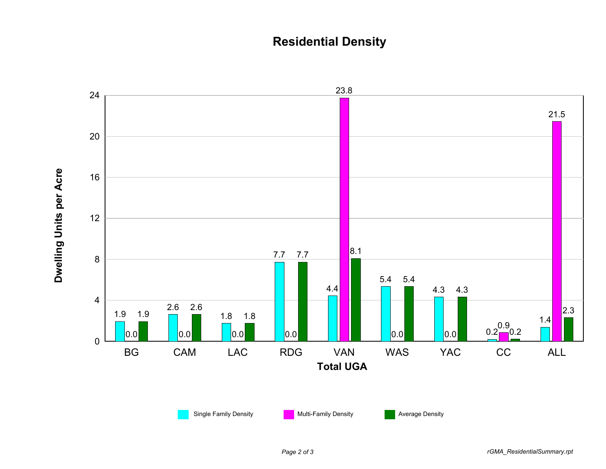## **Residential Density**